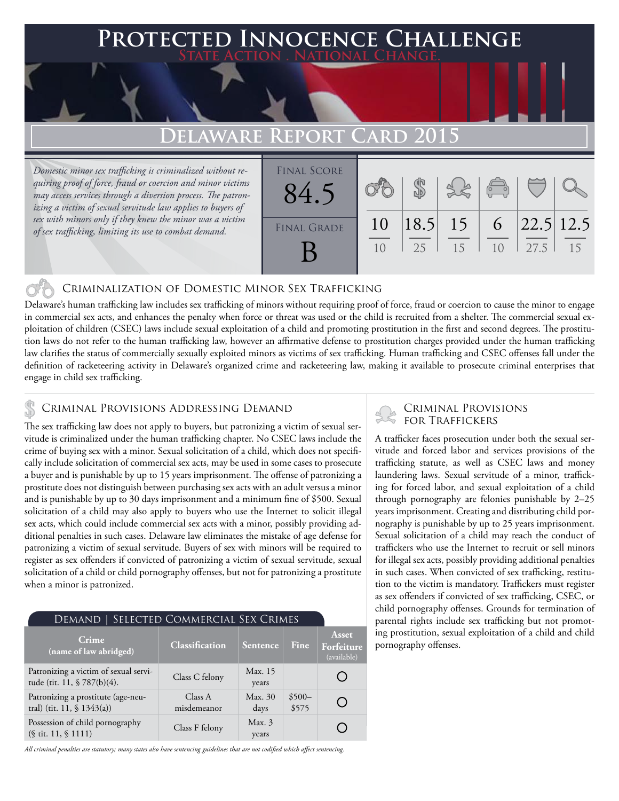### **PTED INNOCENCE CHALLENGE State Action . National Change.**

## **Delaware Report Card 2015**

*Domestic minor sex trafficking is criminalized without requiring proof of force, fraud or coercion and minor victims may access services through a diversion process. The patronizing a victim of sexual servitude law applies to buyers of sex with minors only if they knew the minor was a victim of sex trafficking, limiting its use to combat demand.*

| <b>FINAL SCORE</b><br>84.5 |                |    |             | $\begin{pmatrix} 1 & 1 \\ 0 & 1 \end{pmatrix}$ |                              |    |
|----------------------------|----------------|----|-------------|------------------------------------------------|------------------------------|----|
| <b>FINAL GRADE</b>         | 10             |    | $ 18.5 $ 15 |                                                | 6 $\left  22.5 \right  12.5$ |    |
|                            | 1 <sub>0</sub> | 25 | 15          | 10                                             | 127.5                        | 15 |

### Criminalization of Domestic Minor Sex Trafficking

Delaware's human trafficking law includes sex trafficking of minors without requiring proof of force, fraud or coercion to cause the minor to engage in commercial sex acts, and enhances the penalty when force or threat was used or the child is recruited from a shelter. The commercial sexual exploitation of children (CSEC) laws include sexual exploitation of a child and promoting prostitution in the first and second degrees. The prostitution laws do not refer to the human trafficking law, however an affirmative defense to prostitution charges provided under the human trafficking law clarifies the status of commercially sexually exploited minors as victims of sex trafficking. Human trafficking and CSEC offenses fall under the definition of racketeering activity in Delaware's organized crime and racketeering law, making it available to prosecute criminal enterprises that engage in child sex trafficking.

### Criminal Provisions Addressing Demand

The sex trafficking law does not apply to buyers, but patronizing a victim of sexual servitude is criminalized under the human trafficking chapter. No CSEC laws include the crime of buying sex with a minor. Sexual solicitation of a child, which does not specifically include solicitation of commercial sex acts, may be used in some cases to prosecute a buyer and is punishable by up to 15 years imprisonment. The offense of patronizing a prostitute does not distinguish between purchasing sex acts with an adult versus a minor and is punishable by up to 30 days imprisonment and a minimum fine of \$500. Sexual solicitation of a child may also apply to buyers who use the Internet to solicit illegal sex acts, which could include commercial sex acts with a minor, possibly providing additional penalties in such cases. Delaware law eliminates the mistake of age defense for patronizing a victim of sexual servitude. Buyers of sex with minors will be required to register as sex offenders if convicted of patronizing a victim of sexual servitude, sexual solicitation of a child or child pornography offenses, but not for patronizing a prostitute when a minor is patronized.

| SELECTED COMMERCIAL SEX CRIMES<br>DEMAND                             |                        |                  |                  |                                    |  |  |  |
|----------------------------------------------------------------------|------------------------|------------------|------------------|------------------------------------|--|--|--|
| <b>Crime</b><br>(name of law abridged)                               | Classification         | Sentence         | <b>Fine</b>      | Asset<br>Forfeiture<br>(available) |  |  |  |
| Patronizing a victim of sexual servi-<br>tude (tit. 11, § 787(b)(4). | Class C felony         | Max. 15<br>years |                  |                                    |  |  |  |
| Patronizing a prostitute (age-neu-<br>tral) (tit. 11, $$ 1343(a)$ )  | Class A<br>misdemeanor | Max. 30<br>days  | $$500-$<br>\$575 |                                    |  |  |  |
| Possession of child pornography<br>$(\S$ tit. 11, $\S$ 1111)         | Class F felony         | Max.3<br>years   |                  |                                    |  |  |  |

*All criminal penalties are statutory; many states also have sentencing guidelines that are not codified which affect sentencing.* 

# Criminal Provisions

A trafficker faces prosecution under both the sexual servitude and forced labor and services provisions of the trafficking statute, as well as CSEC laws and money laundering laws. Sexual servitude of a minor, trafficking for forced labor, and sexual exploitation of a child through pornography are felonies punishable by 2–25 years imprisonment. Creating and distributing child pornography is punishable by up to 25 years imprisonment. Sexual solicitation of a child may reach the conduct of traffickers who use the Internet to recruit or sell minors for illegal sex acts, possibly providing additional penalties in such cases. When convicted of sex trafficking, restitution to the victim is mandatory. Traffickers must register as sex offenders if convicted of sex trafficking, CSEC, or child pornography offenses. Grounds for termination of parental rights include sex trafficking but not promoting prostitution, sexual exploitation of a child and child pornography offenses.